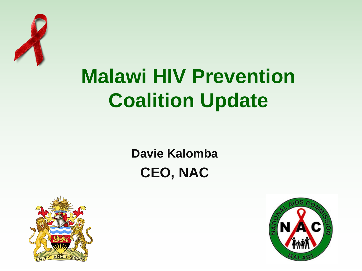

## **Malawi HIV Prevention Coalition Update**

#### **Davie Kalomba CEO, NAC**



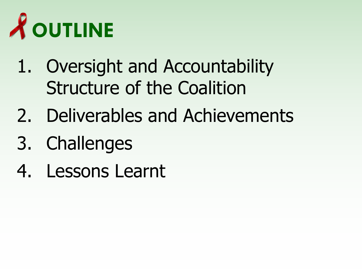

- 1. Oversight and Accountability Structure of the Coalition
- 2. Deliverables and Achievements
- 3. Challenges
- 4. Lessons Learnt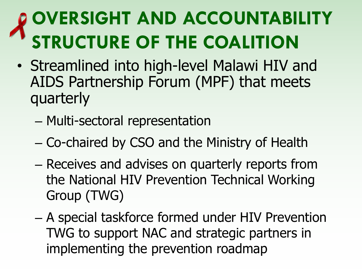### **OVERSIGHT AND ACCOUNTABILITY STRUCTURE OF THE COALITION**

- Streamlined into high-level Malawi HIV and AIDS Partnership Forum (MPF) that meets quarterly
	- Multi-sectoral representation
	- Co-chaired by CSO and the Ministry of Health
	- Receives and advises on quarterly reports from the National HIV Prevention Technical Working Group (TWG)
	- A special taskforce formed under HIV Prevention TWG to support NAC and strategic partners in implementing the prevention roadmap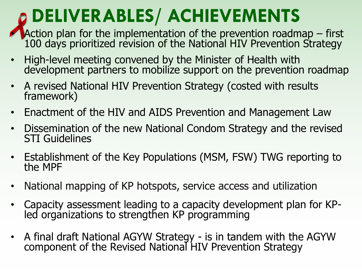#### **DELIVERABLES/ ACHIEVEMENTS**

- Action plan for the implementation of the prevention roadmap  $-$  first 100 days prioritized revision of the National HIV Prevention Strategy
- High-level meeting convened by the Minister of Health with development partners to mobilize support on the prevention roadmap
- A revised National HIV Prevention Strategy (costed with results framework)
- Enactment of the HIV and AIDS Prevention and Management Law
- Dissemination of the new National Condom Strategy and the revised STI Guidelines
- Establishment of the Key Populations (MSM, FSW) TWG reporting to the MPF
- National mapping of KP hotspots, service access and utilization
- Capacity assessment leading to a capacity development plan for KPled organizations to strengthen KP programming
- A final draft National AGYW Strategy is in tandem with the AGYW component of the Revised National HIV Prevention Strategy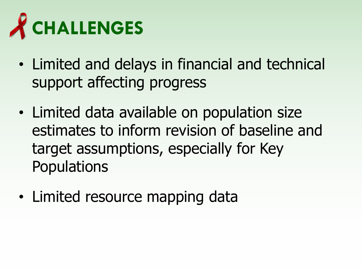

- Limited and delays in financial and technical support affecting progress
- Limited data available on population size estimates to inform revision of baseline and target assumptions, especially for Key **Populations**
- Limited resource mapping data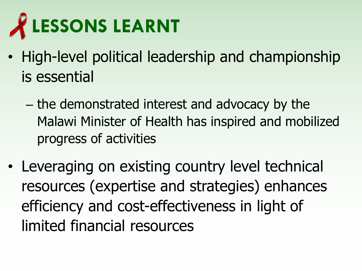

- High-level political leadership and championship is essential
	- the demonstrated interest and advocacy by the Malawi Minister of Health has inspired and mobilized progress of activities
- Leveraging on existing country level technical resources (expertise and strategies) enhances efficiency and cost-effectiveness in light of limited financial resources